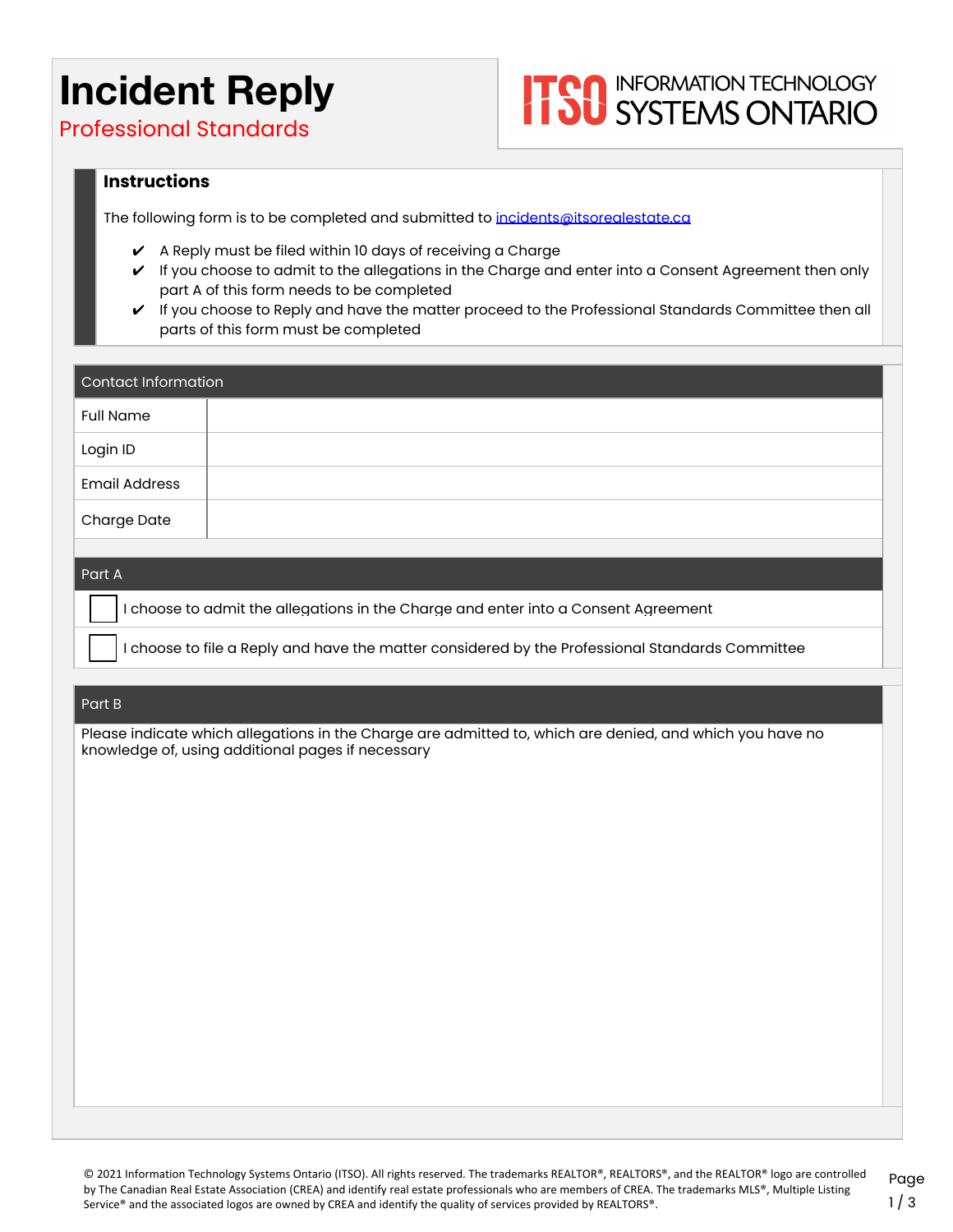## **Incident Reply**

# **ITOO** INFORMATION TECHNOLOGY

Professional Standards

#### **Instructions**

The following form is to be completed and submitted to *[incidents@itsorealestate.ca](mailto:incidents@itsorealestate.ca)* 

- $\checkmark$  A Reply must be filed within 10 days of receiving a Charge
- ✔ If you choose to admit to the allegations in the Charge and enter into a Consent Agreement then only part A of this form needs to be completed
- $\checkmark$  If you choose to Reply and have the matter proceed to the Professional Standards Committee then all parts of this form must be completed

| Contact Information  |  |  |
|----------------------|--|--|
| <b>Full Name</b>     |  |  |
| Login ID             |  |  |
| <b>Email Address</b> |  |  |
| Charge Date          |  |  |
|                      |  |  |

#### Part A

❏ I choose to admit the allegations in the Charge and enter into a Consent Agreement

❏ I choose to file a Reply and have the matter considered by the Professional Standards Committee

#### Part B

Please indicate which allegations in the Charge are admitted to, which are denied, and which you have no knowledge of, using additional pages if necessary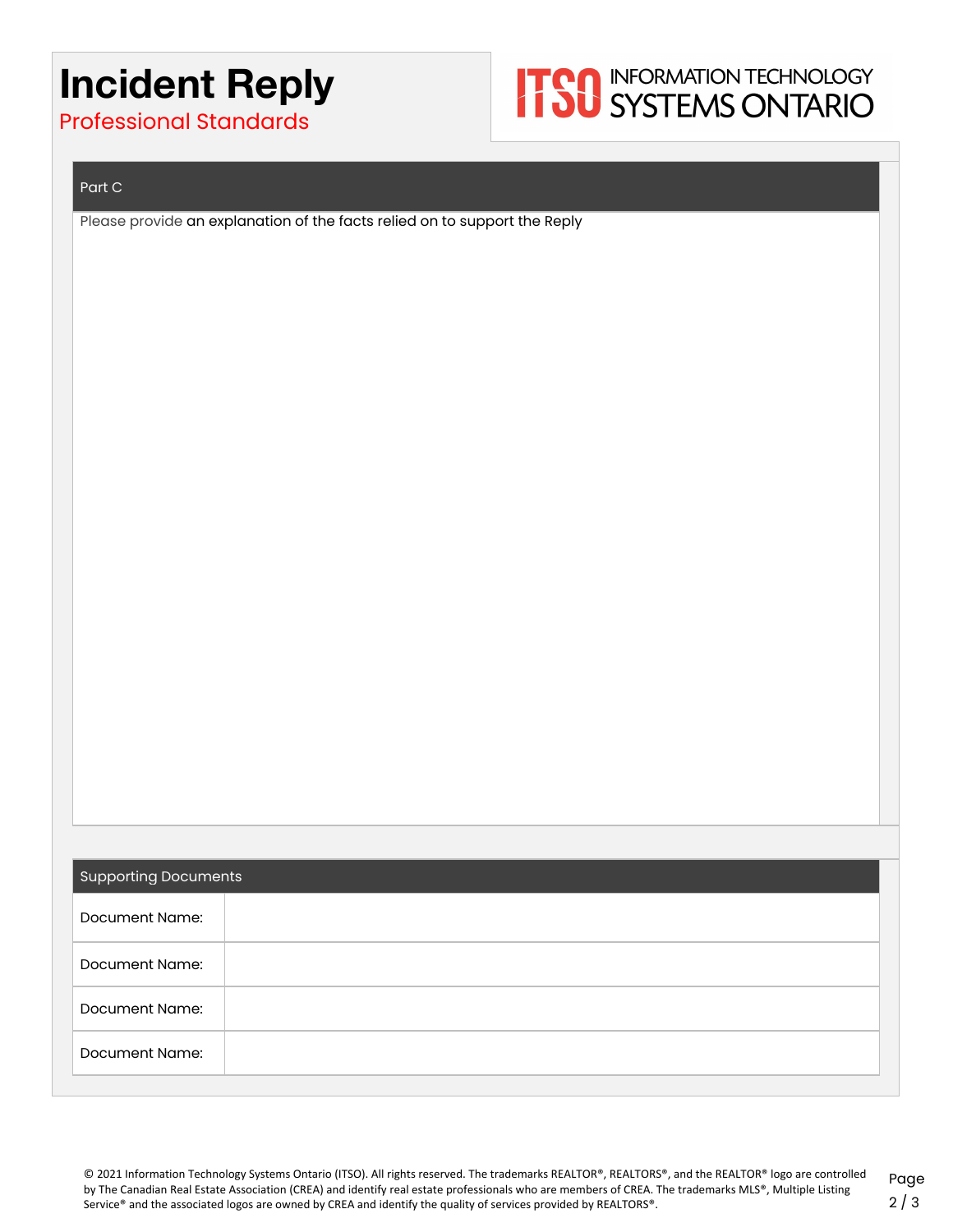### **Incident Reply**



Professional Standards

#### Part C

Please provide an explanation of the facts relied on to support the Reply

| <b>Supporting Documents</b> |  |  |
|-----------------------------|--|--|
| Document Name:              |  |  |
| Document Name:              |  |  |
| Document Name:              |  |  |
| Document Name:              |  |  |
|                             |  |  |

© 2021 Information Technology Systems Ontario (ITSO). All rights reserved. The trademarks REALTOR®, REALTORS®, and the REALTOR® logo are controlled by The Canadian Real Estate Association (CREA) and identify real estate professionals who are members of CREA. The trademarks MLS®, Multiple Listing Service® and the associated logos are owned by CREA and identify the quality of services provided by REALTORS®.